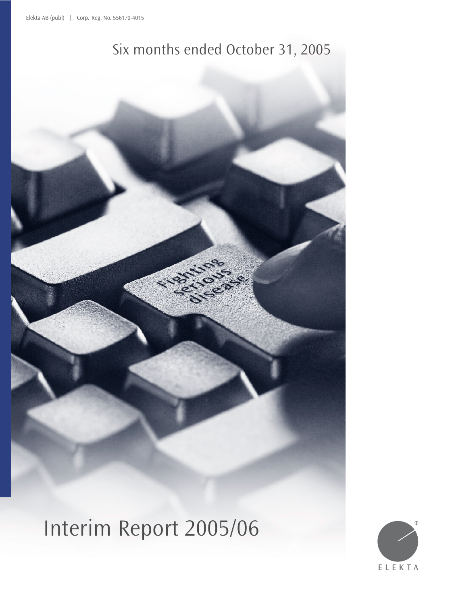## Six months ended October 31, 2005

Interim Report 2005/06

 $\overline{\mathbf{C}}$ 

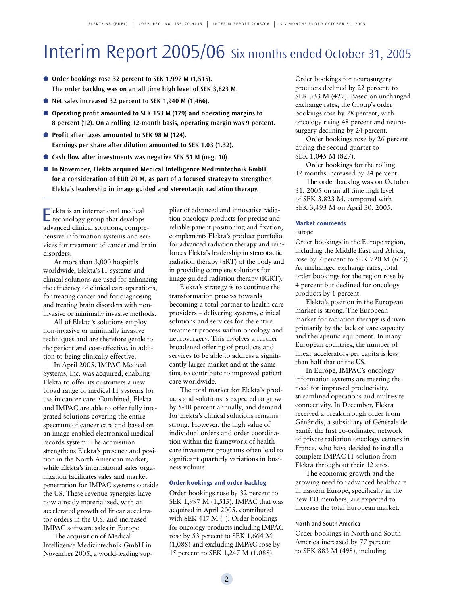# Interim Report 2005/06 Six months ended October 31, 2005

- **Order bookings rose 32 percent to SEK 1,997 M (1,515). The order backlog was on an all time high level of SEK 3,823 M.**
- **Net sales increased 32 percent to SEK 1,940 M (1,466).**
- Operating profit amounted to SEK 153 M (179) and operating margins to **8 percent (12). On a rolling 12-month basis, operating margin was 9 percent.**
- **Profit after taxes amounted to SEK 98 M (124). Earnings per share after dilution amounted to SEK 1.03 (1.32).**
- Cash flow after investments was negative SEK 51 M (neg. 10).
- **In November, Elekta acquired Medical Intelligence Medizintechnik GmbH for a consideration of EUR 20 M, as part of a focused strategy to strengthen Elekta's leadership in image guided and stereotactic radiation therapy.**

Elekta is an international medical technology group that develops advanced clinical solutions, comprehensive information systems and services for treatment of cancer and brain disorders.

At more than 3,000 hospitals worldwide, Elekta's IT systems and clinical solutions are used for enhancing the efficiency of clinical care operations, for treating cancer and for diagnosing and treating brain disorders with noninvasive or minimally invasive methods.

All of Elekta's solutions employ non-invasive or minimally invasive techniques and are therefore gentle to the patient and cost-effective, in addition to being clinically effective.

In April 2005, IMPAC Medical Systems, Inc. was acquired, enabling Elekta to offer its customers a new broad range of medical IT systems for use in cancer care. Combined, Elekta and IMPAC are able to offer fully integrated solutions covering the entire spectrum of cancer care and based on an image enabled electronical medical records system. The acquisition strengthens Elekta's presence and position in the North American market, while Elekta's international sales organization facilitates sales and market penetration for IMPAC systems outside the US. These revenue synergies have now already materialized, with an accelerated growth of linear accelerator orders in the U.S. and increased IMPAC software sales in Europe.

The acquisition of Medical Intelligence Medizintechnik GmbH in November 2005, a world-leading supplier of advanced and innovative radiation oncology products for precise and reliable patient positioning and fixation, complements Elekta's product portfolio for advanced radiation therapy and reinforces Elekta's leadership in stereotactic radiation therapy (SRT) of the body and in providing complete solutions for image guided radiation therapy (IGRT).

Elekta's strategy is to continue the transformation process towards becoming a total partner to health care providers – delivering systems, clinical solutions and services for the entire treatment process within oncology and neurosurgery. This involves a further broadened offering of products and services to be able to address a significantly larger market and at the same time to contribute to improved patient care worldwide.

The total market for Elekta's products and solutions is expected to grow by 5-10 percent annually, and demand for Elekta's clinical solutions remains strong. However, the high value of individual orders and order coordination within the framework of health care investment programs often lead to significant quarterly variations in business volume.

#### **Order bookings and order backlog**

Order bookings rose by 32 percent to SEK 1,997 M (1,515). IMPAC that was acquired in April 2005, contributed with SEK 417 M (–). Order bookings for oncology products including IMPAC rose by 53 percent to SEK 1,664 M (1,088) and excluding IMPAC rose by 15 percent to SEK 1,247 M (1,088).

Order bookings for neurosurgery products declined by 22 percent, to SEK 333 M (427). Based on unchanged exchange rates, the Group's order bookings rose by 28 percent, with oncology rising 48 percent and neurosurgery declining by 24 percent.

Order bookings rose by 26 percent during the second quarter to SEK 1,045 M (827).

Order bookings for the rolling 12 months increased by 24 percent.

The order backlog was on October 31, 2005 on an all time high level of SEK 3,823 M, compared with SEK 3,493 M on April 30, 2005.

### **Market comments**

#### Europe

Order bookings in the Europe region, including the Middle East and Africa, rose by 7 percent to SEK 720 M (673). At unchanged exchange rates, total order bookings for the region rose by 4 percent but declined for oncology products by 1 percent.

Elekta's position in the European market is strong. The European market for radiation therapy is driven primarily by the lack of care capacity and therapeutic equipment. In many European countries, the number of linear accelerators per capita is less than half that of the US.

In Europe, IMPAC's oncology information systems are meeting the need for improved productivity, streamlined operations and multi-site connectivity. In December, Elekta received a breakthrough order from Généridis, a subsidiary of Générale de Santé, the first co-ordinated network of private radiation oncology centers in France, who have decided to install a complete IMPAC IT solution from Elekta throughout their 12 sites.

The economic growth and the growing need for advanced healthcare in Eastern Europe, specifically in the new EU members, are expected to increase the total European market.

#### North and South America

Order bookings in North and South America increased by 77 percent to SEK 883 M (498), including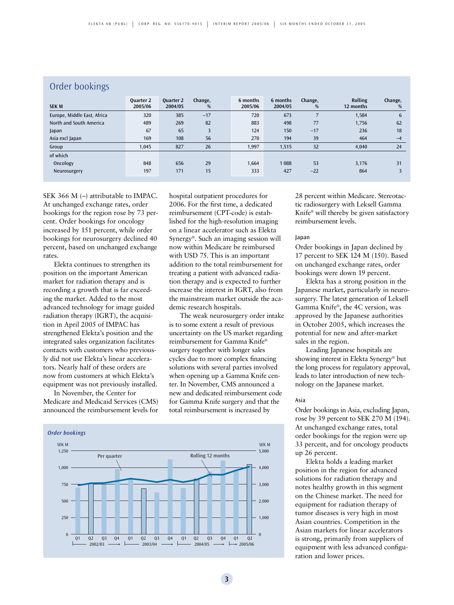| Order bookings              |                             |                             |              |                     |                     |              |                             |              |  |
|-----------------------------|-----------------------------|-----------------------------|--------------|---------------------|---------------------|--------------|-----------------------------|--------------|--|
| <b>SEK M</b>                | <b>Ouarter 2</b><br>2005/06 | <b>Quarter 2</b><br>2004/05 | Change,<br>% | 6 months<br>2005/06 | 6 months<br>2004/05 | Change,<br>% | <b>Rolling</b><br>12 months | Change,<br>% |  |
| Europe, Middle East, Africa | 320                         | 385                         | $-17$        | 720                 | 673                 |              | 1,584                       | 6            |  |
| North and South America     | 489                         | 269                         | 82           | 883                 | 498                 | 77           | 1,756                       | 62           |  |
| Japan                       | 67                          | 65                          | 3            | 124                 | 150                 | $-17$        | 236                         | 18           |  |
| Asia excl Japan             | 169                         | 108                         | 56           | 270                 | 194                 | 39           | 464                         | $-4$         |  |
| Group                       | 1,045                       | 827                         | 26           | 1,997               | 1,515               | 32           | 4,040                       | 24           |  |
| of which                    |                             |                             |              |                     |                     |              |                             |              |  |
| Oncology                    | 848                         | 656                         | 29           | 1,664               | 1088                | 53           | 3,176                       | 31           |  |
| Neurosurgery                | 197                         | 171                         | 15           | 333                 | 427                 | $-22$        | 864                         | 3            |  |
|                             |                             |                             |              |                     |                     |              |                             |              |  |

## Order bookings

SEK 366 M (–) attributable to IMPAC. At unchanged exchange rates, order bookings for the region rose by 73 percent. Order bookings for oncology increased by 151 percent, while order bookings for neurosurgery declined 40 percent, based on unchanged exchange rates.

Elekta continues to strengthen its position on the important American market for radiation therapy and is recording a growth that is far exceeding the market. Added to the most advanced technology for image guided radiation therapy (IGRT), the acquisition in April 2005 of IMPAC has strengthened Elekta's position and the integrated sales organization facilitates contacts with customers who previously did not use Elekta's linear accelerators. Nearly half of these orders are now from customers at which Elekta's equipment was not previously installed.

In November, the Center for Medicare and Medicaid Services (CMS) announced the reimbursement levels for hospital outpatient procedures for 2006. For the first time, a dedicated reimbursement (CPT-code) is established for the high-resolution imaging on a linear accelerator such as Elekta Synergy®. Such an imaging session will now within Medicare be reimbursed with USD 75. This is an important addition to the total reimbursement for treating a patient with advanced radiation therapy and is expected to further increase the interest in IGRT, also from the mainstream market outside the academic research hospitals.

The weak neurosurgery order intake is to some extent a result of previous uncertainty on the US market regarding reimbursement for Gamma Knife® surgery together with longer sales cycles due to more complex financing solutions with several parties involved when opening up a Gamma Knife center. In November, CMS announced a new and dedicated reimbursement code for Gamma Knife surgery and that the total reimbursement is increased by



28 percent within Medicare. Stereotactic radiosurgery with Leksell Gamma Knife® will thereby be given satisfactory reimbursement levels.

#### Japan

Order bookings in Japan declined by 17 percent to SEK 124 M (150). Based on unchanged exchange rates, order bookings were down 19 percent.

Elekta has a strong position in the Japanese market, particularly in neurosurgery. The latest generation of Leksell Gamma Knife®, the 4C version, was approved by the Japanese authorities in October 2005, which increases the potential for new and after-market sales in the region.

Leading Japanese hospitals are showing interest in Elekta Synergy® but the long process for regulatory approval, leads to later introduction of new technology on the Japanese market.

#### Asia

Order bookings in Asia, excluding Japan, rose by 39 percent to SEK 270 M (194). At unchanged exchange rates, total order bookings for the region were up 33 percent, and for oncology products up 26 percent.

Elekta holds a leading market position in the region for advanced solutions for radiation therapy and notes healthy growth in this segment on the Chinese market. The need for equipment for radiation therapy of tumor diseases is very high in most Asian countries. Competition in the Asian markets for linear accelerators is strong, primarily from suppliers of equipment with less advanced configuration and lower prices.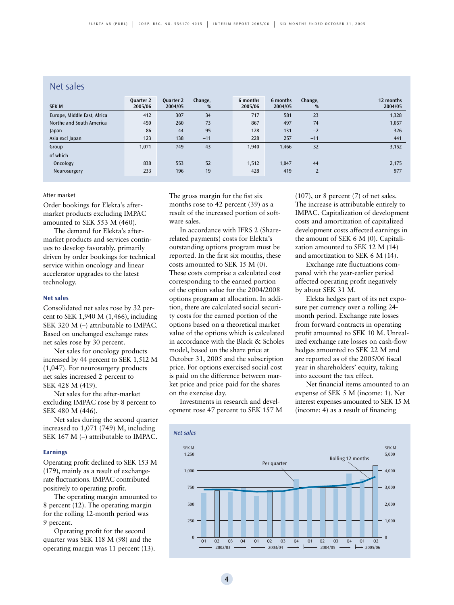## Net sales

| <b>SEK M</b>                | Quarter 2<br>2005/06 | <b>Quarter 2</b><br>2004/05 | Change,<br>% | 6 months<br>2005/06 | 6 months<br>2004/05 | Change,<br>% | 12 months<br>2004/05 |
|-----------------------------|----------------------|-----------------------------|--------------|---------------------|---------------------|--------------|----------------------|
| Europe, Middle East, Africa | 412                  | 307                         | 34           | 717                 | 581                 | 23           | 1,328                |
| Northe and South America    | 450                  | 260                         | 73           | 867                 | 497                 | 74           | 1,057                |
| Japan                       | 86                   | 44                          | 95           | 128                 | 131                 | $-2$         | 326                  |
| Asia excl Japan             | 123                  | 138                         | $-11$        | 228                 | 257                 | $-11$        | 441                  |
| Group                       | 1,071                | 749                         | 43           | 1.940               | 1,466               | 32           | 3,152                |
| of which                    |                      |                             |              |                     |                     |              |                      |
| Oncology                    | 838                  | 553                         | 52           | 1,512               | 1.047               | 44           | 2,175                |
| Neurosurgery                | 233                  | 196                         | 19           | 428                 | 419                 | 2            | 977                  |

#### After market

Order bookings for Elekta's aftermarket products excluding IMPAC amounted to SEK 553 M (460).

The demand for Elekta's aftermarket products and services continues to develop favorably, primarily driven by order bookings for technical service within oncology and linear accelerator upgrades to the latest technology.

#### **Net sales**

Consolidated net sales rose by 32 percent to SEK 1,940 M (1,466), including SEK 320 M (–) attributable to IMPAC. Based on unchanged exchange rates net sales rose by 30 percent.

Net sales for oncology products increased by 44 percent to SEK 1,512 M (1,047). For neurosurgery products net sales increased 2 percent to SEK 428 M (419).

Net sales for the after-market excluding IMPAC rose by 8 percent to SEK 480 M (446).

Net sales during the second quarter increased to 1,071 (749) M, including SEK 167 M (–) attributable to IMPAC.

#### **Earnings**

Operating profit declined to SEK 153 M (179), mainly as a result of exchangerate fluctuations. IMPAC contributed positively to operating profit.

The operating margin amounted to 8 percent (12). The operating margin for the rolling 12-month period was 9 percent.

Operating profit for the second quarter was SEK 118 M (98) and the operating margin was 11 percent (13). The gross margin for the fist six months rose to 42 percent (39) as a result of the increased portion of software sales.

In accordance with IFRS 2 (Sharerelated payments) costs for Elekta's outstanding options program must be reported. In the first six months, these costs amounted to SEK 15 M (0). These costs comprise a calculated cost corresponding to the earned portion of the option value for the 2004/2008 options program at allocation. In addition, there are calculated social security costs for the earned portion of the options based on a theoretical market value of the options which is calculated in accordance with the Black & Scholes model, based on the share price at October 31, 2005 and the subscription price. For options exercised social cost is paid on the difference between market price and price paid for the shares on the exercise day.

Investments in research and development rose 47 percent to SEK 157 M

**4**

 $(107)$ , or 8 percent  $(7)$  of net sales. The increase is attributable entirely to IMPAC. Capitalization of development costs and amortization of capitalized development costs affected earnings in the amount of SEK 6 M (0). Capitalization amounted to SEK 12 M (14) and amortization to SEK 6 M (14).

Exchange rate fluctuations compared with the year-earlier period affected operating profit negatively by about SEK 31 M.

Elekta hedges part of its net exposure per currency over a rolling 24 month period. Exchange rate losses from forward contracts in operating profit amounted to SEK 10 M. Unrealized exchange rate losses on cash-flow hedges amounted to SEK 22 M and are reported as of the 2005/06 fiscal year in shareholders' equity, taking into account the tax effect.

Net financial items amounted to an expense of SEK 5 M (income: 1). Net interest expenses amounted to SEK 15 M (income: 4) as a result of financing

#### *Net sales*

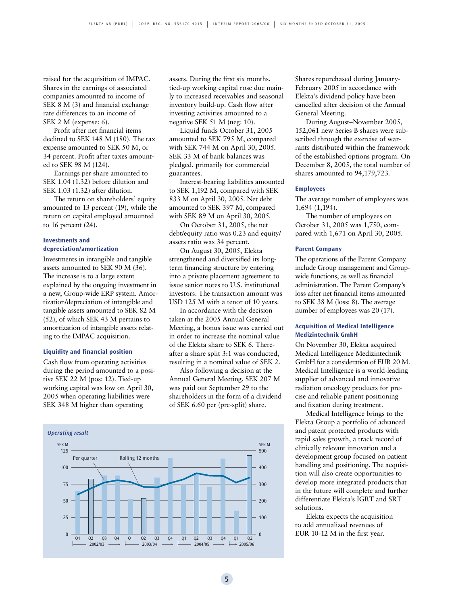raised for the acquisition of IMPAC. Shares in the earnings of associated companies amounted to income of SEK 8 M (3) and financial exchange rate differences to an income of SEK 2 M (expense: 6).

Profit after net financial items declined to SEK 148 M (180). The tax expense amounted to SEK 50 M, or 34 percent. Profit after taxes amounted to SEK 98 M (124).

Earnings per share amounted to SEK 1.04 (1.32) before dilution and SEK 1.03 (1.32) after dilution.

The return on shareholders' equity amounted to 13 percent (19), while the return on capital employed amounted to 16 percent (24).

#### **Investments and depreciation/amortization**

Investments in intangible and tangible assets amounted to SEK 90 M (36). The increase is to a large extent explained by the ongoing investment in a new, Group-wide ERP system. Amortization/depreciation of intangible and tangible assets amounted to SEK 82 M (52), of which SEK 43 M pertains to amortization of intangible assets relating to the IMPAC acquisition.

#### **Liquidity and financial position**

Cash flow from operating activities during the period amounted to a positive SEK 22 M (pos: 12). Tied-up working capital was low on April 30, 2005 when operating liabilities were SEK 348 M higher than operating

assets. During the first six months, tied-up working capital rose due mainly to increased receivables and seasonal inventory build-up. Cash flow after investing activities amounted to a negative SEK 51 M (neg: 10).

Liquid funds October 31, 2005 amounted to SEK 795 M, compared with SEK 744 M on April 30, 2005. SEK 33 M of bank balances was pledged, primarily for commercial guarantees.

Interest-bearing liabilities amounted to SEK 1,192 M, compared with SEK 833 M on April 30, 2005. Net debt amounted to SEK 397 M, compared with SEK 89 M on April 30, 2005.

On October 31, 2005, the net debt/equity ratio was 0.23 and equity/ assets ratio was 34 percent.

On August 30, 2005, Elekta strengthened and diversified its longterm financing structure by entering into a private placement agreement to issue senior notes to U.S. institutional investors. The transaction amount was USD 125 M with a tenor of 10 years.

In accordance with the decision taken at the 2005 Annual General Meeting, a bonus issue was carried out in order to increase the nominal value of the Elekta share to SEK 6. Thereafter a share split 3:1 was conducted, resulting in a nominal value of SEK 2.

Also following a decision at the Annual General Meeting, SEK 207 M was paid out September 29 to the shareholders in the form of a dividend of SEK 6.60 per (pre-split) share.



Shares repurchased during January-February 2005 in accordance with Elekta's dividend policy have been cancelled after decision of the Annual General Meeting.

During August–November 2005, 152,061 new Series B shares were subscribed through the exercise of warrants distributed within the framework of the established options program. On December 8, 2005, the total number of shares amounted to 94,179,723.

#### **Employees**

The average number of employees was 1,694 (1,194).

The number of employees on October 31, 2005 was 1,750, compared with 1,671 on April 30, 2005.

#### **Parent Company**

The operations of the Parent Company include Group management and Groupwide functions, as well as financial administration. The Parent Company's loss after net financial items amounted to SEK 38 M (loss: 8). The average number of employees was 20 (17).

#### **Acquisition of Medical Intelligence Medizintechnik GmbH**

On November 30, Elekta acquired Medical Intelligence Medizintechnik GmbH for a consideration of EUR 20 M. Medical Intelligence is a world-leading supplier of advanced and innovative radiation oncology products for precise and reliable patient positioning and fixation during treatment.

Medical Intelligence brings to the Elekta Group a portfolio of advanced and patent protected products with rapid sales growth, a track record of clinically relevant innovation and a development group focused on patient handling and positioning. The acquisition will also create opportunities to develop more integrated products that in the future will complete and further differentiate Elekta's IGRT and SRT solutions.

Elekta expects the acquisition to add annualized revenues of EUR 10-12 M in the first year.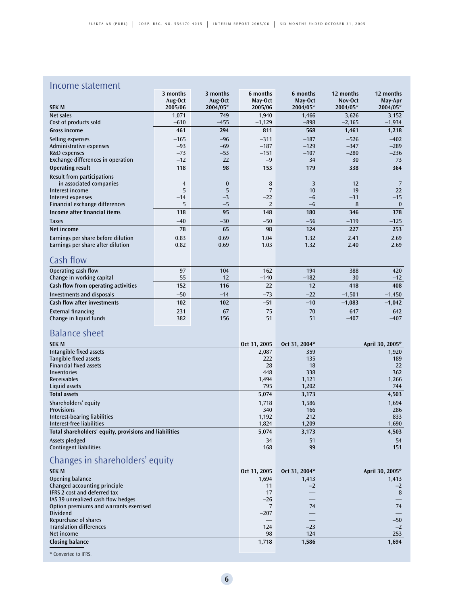## Income statement

|                                     | 3 months       | 3 months | 6 months       | 6 months | 12 months | 12 months    |
|-------------------------------------|----------------|----------|----------------|----------|-----------|--------------|
|                                     | Aug-Oct        | Aug-Oct  | May-Oct        | May-Oct  | Nov-Oct   | May-Apr      |
| <b>SEK M</b>                        | 2005/06        | 2004/05* | 2005/06        | 2004/05* | 2004/05*  | 2004/05*     |
| Net sales                           | 1,071          | 749      | 1,940          | 1,466    | 3,626     | 3,152        |
| Cost of products sold               | $-610$         | $-455$   | $-1,129$       | $-898$   | $-2,165$  | $-1,934$     |
| <b>Gross income</b>                 | 461            | 294      | 811            | 568      | 1,461     | 1,218        |
| Selling expenses                    | $-165$         | $-96$    | $-311$         | $-187$   | $-526$    | $-402$       |
| Administrative expenses             | $-93$          | $-69$    | $-187$         | $-129$   | $-347$    | $-289$       |
| R&D expenses                        | $-73$          | $-53$    | $-151$         | $-107$   | $-280$    | $-236$       |
| Exchange differences in operation   | $-12$          | 22       | $-9$           | 34       | 30        | 73           |
| <b>Operating result</b>             | 118            | 98       | 153            | 179      | 338       | 364          |
| Result from participations          |                |          |                |          |           |              |
| in associated companies             | $\overline{4}$ | $\bf{0}$ | 8              | 3        | 12        | 7            |
| Interest income                     | 5              | 5        | 7              | 10       | 19        | 22           |
| Interest expenses                   | $-14$          | $-3$     | $-22$          | $-6$     | $-31$     | $-15$        |
| Financial exchange differences      | 5              | $-5$     | $\overline{2}$ | $-6$     | 8         | $\mathbf{0}$ |
| Income after financial items        | 118            | 95       | 148            | 180      | 346       | 378          |
| <b>Taxes</b>                        | $-40$          | $-30$    | $-50$          | $-56$    | $-119$    | $-125$       |
| Net income                          | 78             | 65       | 98             | 124      | 227       | 253          |
| Earnings per share before dilution  | 0.83           | 0.69     | 1.04           | 1.32     | 2.41      | 2.69         |
| Earnings per share after dilution   | 0.82           | 0.69     | 1.03           | 1.32     | 2.40      | 2.69         |
| Cash flow                           |                |          |                |          |           |              |
| Operating cash flow                 | 97             | 104      | 162            | 194      | 388       | 420          |
| Change in working capital           | 55             | 12       | $-140$         | $-182$   | 30        | $-12$        |
| Cash flow from operating activities | 152            | 116      | 22             | 12       | 418       | 408          |
| <b>Investments and disposals</b>    | $-50$          | $-14$    | $-73$          | $-22$    | $-1,501$  | $-1,450$     |
| <b>Cash flow after investments</b>  | 102            | 102      | $-51$          | $-10$    | $-1,083$  | $-1,042$     |
| <b>External financing</b>           | 231            | 67       | 75             | 70       | 647       | 642          |
| Change in liquid funds              | 382            | 156      | 51             | 51       | $-407$    | $-407$       |

## Balance sheet

| <b>SEK M</b>                                                                                                    | Oct 31, 2005 | Oct 31, 2004* | April 30, 2005* |
|-----------------------------------------------------------------------------------------------------------------|--------------|---------------|-----------------|
| Intangible fixed assets                                                                                         | 2,087        | 359           | 1,920           |
| Tangible fixed assets                                                                                           | 222          | 135           | 189             |
| <b>Financial fixed assets</b>                                                                                   | 28           | 18            | 22              |
| Inventories                                                                                                     | 448          | 338           | 362             |
| <b>Receivables</b>                                                                                              | 1,494        | 1,121         | 1,266           |
| Liquid assets                                                                                                   | 795          | 1,202         | 744             |
| <b>Total assets</b>                                                                                             | 5,074        | 3,173         | 4,503           |
| Shareholders' equity                                                                                            | 1.718        | 1,586         | 1,694           |
| <b>Provisions</b>                                                                                               | 340          | 166           | 286             |
| Interest-bearing liabilities                                                                                    | 1,192        | 212           | 833             |
| Interest-free liabilities                                                                                       | 1,824        | 1,209         | 1,690           |
| Total shareholders' equity, provisions and liabilities                                                          | 5,074        | 3,173         | 4,503           |
| Assets pledged                                                                                                  | 34           | 51            | 54              |
| <b>Contingent liabilities</b>                                                                                   | 168          | 99            | 151             |
| the contract of the contract of the contract of the contract of the contract of the contract of the contract of |              |               |                 |

## Changes in shareholders' equity

| <b>SEK M</b>                           | Oct 31, 2005 | Oct 31, 2004* | April 30, 2005* |
|----------------------------------------|--------------|---------------|-----------------|
| Opening balance                        | 1,694        | 1,413         | 1,413           |
| Changed accounting principle           | 11           | $-2$          | $-2$            |
| IFRS 2 cost and deferred tax           | 17           |               | 8               |
| IAS 39 unrealized cash flow hedges     | $-26$        |               |                 |
| Option premiums and warrants exercised |              | 74            | 74              |
| <b>Dividend</b>                        | $-207$       |               |                 |
| Repurchase of shares                   |              |               | $-50$           |
| <b>Translation differences</b>         | 124          | $-23$         | $-2$            |
| Net income                             | 98           | 124           | 253             |
| <b>Closing balance</b>                 | 1,718        | 1,586         | 1,694           |

\* Converted to IFRS.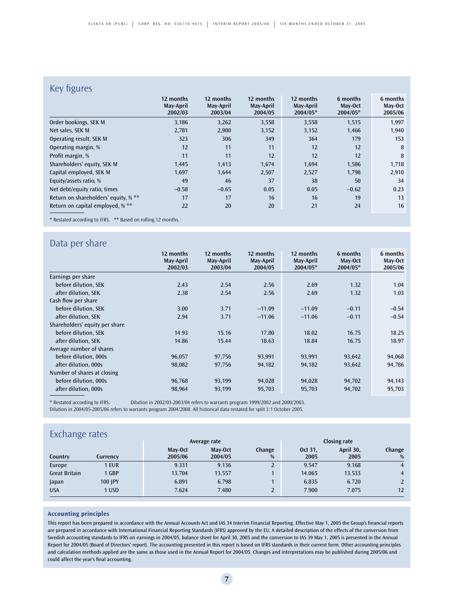## Key figures

| $\cdots$ , $\cdots$                  |                                   |                                   |                                   |                                    |                                 |                                |
|--------------------------------------|-----------------------------------|-----------------------------------|-----------------------------------|------------------------------------|---------------------------------|--------------------------------|
|                                      | 12 months<br>May-April<br>2002/03 | 12 months<br>May-April<br>2003/04 | 12 months<br>May-April<br>2004/05 | 12 months<br>May-April<br>2004/05* | 6 months<br>May-Oct<br>2004/05* | 6 months<br>May-Oct<br>2005/06 |
| Order bookings, SEK M                | 3,186                             | 3,262                             | 3,558                             | 3,558                              | 1,515                           | 1,997                          |
| Net sales, SEK M                     | 2,781                             | 2,900                             | 3,152                             | 3,152                              | 1,466                           | 1,940                          |
| Operating result, SEK M              | 323                               | 306                               | 349                               | 364                                | 179                             | 153                            |
| Operating margin, %                  | 12                                | 11                                | 11                                | 12                                 | 12                              | 8                              |
| Profit margin, %                     | 11                                | 11                                | 12                                | 12                                 | 12                              | 8                              |
| Shareholders' equity, SEK M          | 1.445                             | 1,413                             | 1,674                             | 1,694                              | 1,586                           | 1,718                          |
| Capital employed, SEK M              | 1,697                             | 1,644                             | 2,507                             | 2,527                              | 1,798                           | 2,910                          |
| Equity/assets ratio, %               | 49                                | 46                                | 37                                | 38                                 | 50                              | 34                             |
| Net debt/equity ratio, times         | $-0.58$                           | $-0.65$                           | 0.05                              | 0.05                               | $-0.62$                         | 0.23                           |
| Return on shareholders' equity, % ** | 17                                | 17                                | 16                                | 16                                 | 19                              | 13                             |
| Return on capital employed, % **     | 22                                | 20                                | 20                                | 21                                 | 24                              | 16                             |

\* Restated according to IFRS. \*\* Based on rolling 12 months.

## Data per share

|                                | 12 months<br>May-April<br>2002/03 | 12 months<br>May-April<br>2003/04 | 12 months<br>May-April<br>2004/05 | 12 months<br>May-April<br>2004/05* | 6 months<br>May-Oct<br>2004/05* | 6 months<br>May-Oct<br>2005/06 |
|--------------------------------|-----------------------------------|-----------------------------------|-----------------------------------|------------------------------------|---------------------------------|--------------------------------|
| Earnings per share             |                                   |                                   |                                   |                                    |                                 |                                |
| before dilution, SEK           | 2.43                              | 2.54                              | 2.56                              | 2.69                               | 1.32                            | 1.04                           |
| after dilution, SEK            | 2.38                              | 2.54                              | 2.56                              | 2.69                               | 1.32                            | 1.03                           |
| Cash flow per share            |                                   |                                   |                                   |                                    |                                 |                                |
| before dilution, SEK           | 3.00                              | 3.71                              | $-11.09$                          | $-11.09$                           | $-0.11$                         | $-0.54$                        |
| after dilution, SEK            | 2.94                              | 3.71                              | $-11.06$                          | $-11.06$                           | $-0.11$                         | $-0.54$                        |
| Shareholders' equity per share |                                   |                                   |                                   |                                    |                                 |                                |
| before dilution, SEK           | 14.93                             | 15.16                             | 17.80                             | 18.02                              | 16.75                           | 18.25                          |
| after dilution, SEK            | 14.86                             | 15.44                             | 18.63                             | 18.84                              | 16.75                           | 18.97                          |
| Average number of shares       |                                   |                                   |                                   |                                    |                                 |                                |
| before dilution, 000s          | 96,057                            | 97,756                            | 93,991                            | 93,991                             | 93,642                          | 94,068                         |
| after dilution, 000s           | 98,082                            | 97,756                            | 94,182                            | 94,182                             | 93,642                          | 94,786                         |
| Number of shares at closing    |                                   |                                   |                                   |                                    |                                 |                                |
| before dilution, 000s          | 96,768                            | 93,199                            | 94,028                            | 94,028                             | 94,702                          | 94,143                         |
| after dilution, 000s           | 98,964                            | 93,199                            | 95,703                            | 95,703                             | 94,702                          | 95,703                         |

\* Restated according to IFRS. Dilution in 2002/03-2003/04 refers to warrants program 1999/2002 and 2000/2003. Dilution in 2004/05-2005/06 refers to warrants program 2004/2008. All historical data restated for split 3:1 October 2005.

| Exchange rates       |          |         |              |        |         |           |        |  |
|----------------------|----------|---------|--------------|--------|---------|-----------|--------|--|
| Average rate         |          |         | Closing rate |        |         |           |        |  |
|                      |          | May-Oct | May-Oct      | Change | Oct 31, | April 30, | Change |  |
| Country              | Currency | 2005/06 | 2004/05      | %      | 2005    | 2005      | %      |  |
| Europe               | 1 EUR    | 9.331   | 9.136        |        | 9.547   | 9.168     | 4      |  |
| <b>Great Britain</b> | 1 GBP    | 13.704  | 13.557       |        | 14.065  | 13.533    | 4      |  |
| Japan                | 100 IPY  | 6.891   | 6.798        |        | 6.835   | 6.720     |        |  |
| <b>USA</b>           | 1 USD    | 7.624   | 7.480        |        | 7.900   | 7.075     | 12     |  |

#### **Accounting principles**

This report has been prepared in accordance with the Annual Accounts Act and IAS 34 Interim Financial Reporting. Effective May 1, 2005 the Group's financial reports are prepared in accordance with International Financial Reporting Standards (IFRS) approved by the EU. A detailed description of the effects of the conversion from Swedish accounting standards to IFRS on earnings in 2004/05, balance sheet for April 30, 2005 and the conversion to IAS 39 May 1, 2005 is presented in the Annual Report for 2004/05 (Board of Directors' report). The accounting presented in this report is based on IFRS standards in their current form. Other accounting principles and calculation methods applied are the same as those used in the Annual Report for 2004/05. Changes and interpretations may be published during 2005/06 and could affect the year's final accounting.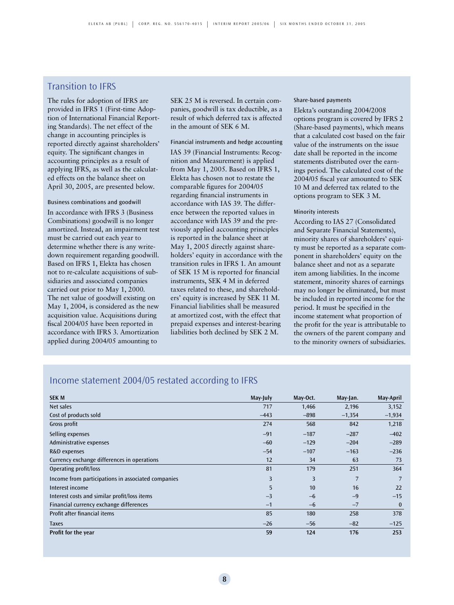## Transition to IFRS

The rules for adoption of IFRS are provided in IFRS 1 (First-time Adoption of International Financial Reporting Standards). The net effect of the change in accounting principles is reported directly against shareholders' equity. The significant changes in accounting principles as a result of applying IFRS, as well as the calculated effects on the balance sheet on April 30, 2005, are presented below.

Business combinations and goodwill In accordance with IFRS 3 (Business Combinations) goodwill is no longer amortized. Instead, an impairment test must be carried out each year to determine whether there is any writedown requirement regarding goodwill. Based on IFRS 1, Elekta has chosen not to re-calculate acquisitions of subsidiaries and associated companies carried out prior to May 1, 2000. The net value of goodwill existing on May 1, 2004, is considered as the new acquisition value. Acquisitions during fiscal 2004/05 have been reported in accordance with IFRS 3. Amortization applied during 2004/05 amounting to

SEK 25 M is reversed. In certain companies, goodwill is tax deductible, as a result of which deferred tax is affected in the amount of SEK 6 M.

#### Financial instruments and hedge accounting

IAS 39 (Financial Instruments: Recognition and Measurement) is applied from May 1, 2005. Based on IFRS 1, Elekta has chosen not to restate the comparable figures for 2004/05 regarding financial instruments in accordance with IAS 39. The difference between the reported values in accordance with IAS 39 and the previously applied accounting principles is reported in the balance sheet at May 1, 2005 directly against shareholders' equity in accordance with the transition rules in IFRS 1. An amount of SEK 15 M is reported for financial instruments, SEK 4 M in deferred taxes related to these, and shareholders' equity is increased by SEK 11 M. Financial liabilities shall be measured at amortized cost, with the effect that prepaid expenses and interest-bearing liabilities both declined by SEK 2 M.

#### Share-based payments

Elekta's outstanding 2004/2008 options program is covered by IFRS 2 (Share-based payments), which means that a calculated cost based on the fair value of the instruments on the issue date shall be reported in the income statements distributed over the earnings period. The calculated cost of the 2004/05 fiscal year amounted to SEK 10 M and deferred tax related to the options program to SEK 3 M.

#### Minority interests

According to IAS 27 (Consolidated and Separate Financial Statements), minority shares of shareholders' equity must be reported as a separate component in shareholders' equity on the balance sheet and not as a separate item among liabilities. In the income statement, minority shares of earnings may no longer be eliminated, but must be included in reported income for the period. It must be specified in the income statement what proportion of the profit for the year is attributable to the owners of the parent company and to the minority owners of subsidiaries.

| <b>SEK M</b>                                       | May-July | May-Oct. | May-Jan. | May-April |
|----------------------------------------------------|----------|----------|----------|-----------|
| Net sales                                          | 717      | 1,466    | 2,196    | 3,152     |
| Cost of products sold                              | $-443$   | $-898$   | $-1,354$ | $-1,934$  |
| Gross profit                                       | 274      | 568      | 842      | 1,218     |
| Selling expenses                                   | $-91$    | $-187$   | $-287$   | $-402$    |
| Administrative expenses                            | $-60$    | $-129$   | $-204$   | $-289$    |
| R&D expenses                                       | $-54$    | $-107$   | $-163$   | $-236$    |
| Currency exchange differences in operations        | 12       | 34       | 63       | 73        |
| Operating profit/loss                              | 81       | 179      | 251      | 364       |
| Income from participations in associated companies | 3        | 3        | 7        | 7         |
| Interest income                                    | 5        | 10       | 16       | 22        |
| Interest costs and similar profit/loss items       | $-3$     | $-6$     | $-9$     | $-15$     |
| Financial currency exchange differences            | $-1$     | $-6$     | $-7$     | $\bf{0}$  |
| Profit after financial items                       | 85       | 180      | 258      | 378       |
| <b>Taxes</b>                                       | $-26$    | $-56$    | $-82$    | $-125$    |
| Profit for the year                                | 59       | 124      | 176      | 253       |

## Income statement 2004/05 restated according to IFRS